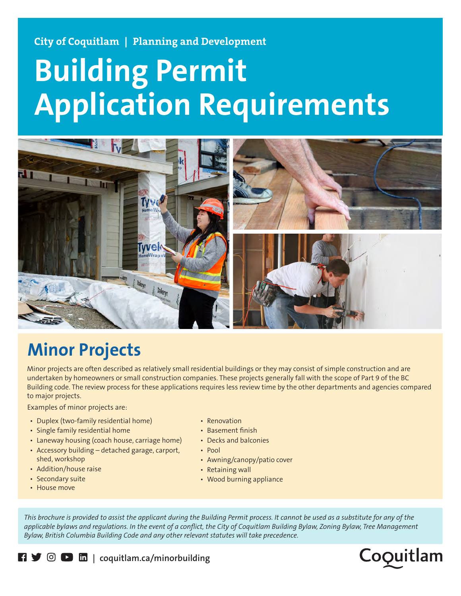**City of Coquitlam | Planning and Development**

# **Building Permit Application Requirements**



## **Minor Projects**

Minor projects are often described as relatively small residential buildings or they may consist of simple construction and are undertaken by homeowners or small construction companies. These projects generally fall with the scope of Part 9 of the BC Building code. The review process for these applications requires less review time by the other departments and agencies compared to major projects.

Examples of minor projects are:

- Duplex (two-family residential home)
- Single family residential home
- Laneway housing (coach house, carriage home)
- Accessory building detached garage, carport, shed, workshop
- Addition/house raise
- Secondary suite
- House move
- Renovation
- Basement finish
- Decks and balconies
- Pool
- Awning/canopy/patio cover
- Retaining wall
- Wood burning appliance

*This brochure is provided to assist the applicant during the Building Permit process. It cannot be used as a substitute for any of the applicable bylaws and regulations. In the event of a conflict, the City of Coquitlam Building Bylaw, Zoning Bylaw, Tree Management Bylaw, British Columbia Building Code and any other relevant statutes will take precedence.*



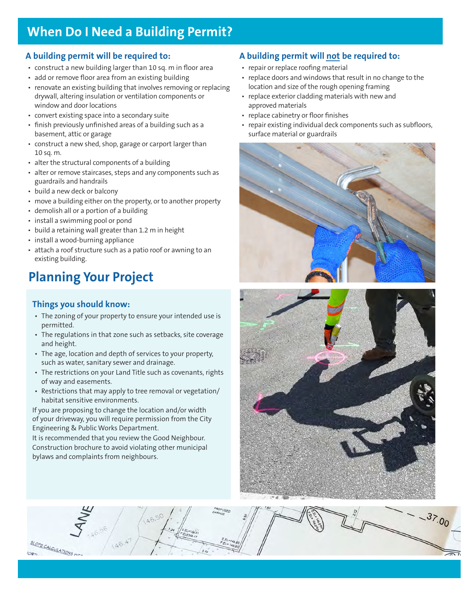### **When Do I Need a Building Permit?**

#### **A building permit will be required to:**

- construct a new building larger than 10 sq. m in floor area
- add or remove floor area from an existing building
- renovate an existing building that involves removing or replacing drywall, altering insulation or ventilation components or window and door locations
- convert existing space into a secondary suite
- finish previously unfinished areas of a building such as a basement, attic or garage
- construct a new shed, shop, garage or carport larger than 10 sq. m.
- alter the structural components of a building
- alter or remove staircases, steps and any components such as guardrails and handrails
- build a new deck or balcony
- move a building either on the property, or to another property
- demolish all or a portion of a building
- install a swimming pool or pond
- build a retaining wall greater than 1.2 m in height
- install a wood-burning appliance
- attach a roof structure such as a patio roof or awning to an existing building.

## **Planning Your Project**

#### **Things you should know:**

- The zoning of your property to ensure your intended use is permitted.
- The regulations in that zone such as setbacks, site coverage and height.
- The age, location and depth of services to your property, such as water, sanitary sewer and drainage.
- The restrictions on your Land Title such as covenants, rights of way and easements.
- Restrictions that may apply to tree removal or vegetation/ habitat sensitive environments.

If you are proposing to change the location and/or width of your driveway, you will require permission from the City Engineering & Public Works Department.

It is recommended that you review the Good Neighbour. Construction brochure to avoid violating other municipal bylaws and complaints from neighbours.

#### **A building permit will not be required to:**

- repair or replace roofing material
- replace doors and windows that result in no change to the location and size of the rough opening framing
- replace exterior cladding materials with new and approved materials
- replace cabinetry or floor finishes
- repair existing individual deck components such as subfloors, surface material or guardrails





 $-37.00$ LOPE CALCULATIONS W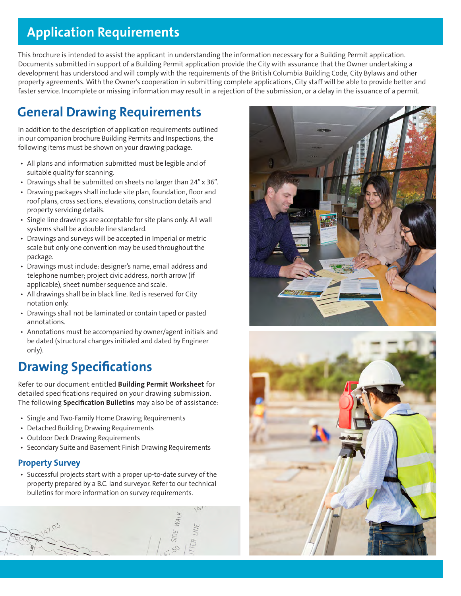#### **Application Requirements**

This brochure is intended to assist the applicant in understanding the information necessary for a Building Permit application. Documents submitted in support of a Building Permit application provide the City with assurance that the Owner undertaking a development has understood and will comply with the requirements of the British Columbia Building Code, City Bylaws and other property agreements. With the Owner's cooperation in submitting complete applications, City staff will be able to provide better and faster service. Incomplete or missing information may result in a rejection of the submission, or a delay in the issuance of a permit.

## **General Drawing Requirements**

In addition to the description of application requirements outlined in our companion brochure Building Permits and Inspections, the following items must be shown on your drawing package.

- All plans and information submitted must be legible and of suitable quality for scanning.
- Drawings shall be submitted on sheets no larger than 24" x 36".
- Drawing packages shall include site plan, foundation, floor and roof plans, cross sections, elevations, construction details and property servicing details.
- Single line drawings are acceptable for site plans only. All wall systems shall be a double line standard.
- Drawings and surveys will be accepted in Imperial or metric scale but only one convention may be used throughout the package.
- Drawings must include: designer's name, email address and telephone number; project civic address, north arrow (if applicable), sheet number sequence and scale.
- All drawings shall be in black line. Red is reserved for City notation only.
- Drawings shall not be laminated or contain taped or pasted annotations.
- Annotations must be accompanied by owner/agent initials and be dated (structural changes initialed and dated by Engineer only).

## **Drawing Specifications**

Refer to our document entitled **Building Permit Worksheet** for detailed specifications required on your drawing submission. The following **Specification Bulletins** may also be of assistance:

- Single and Two-Family Home Drawing Requirements
- Detached Building Drawing Requirements
- Outdoor Deck Drawing Requirements
- Secondary Suite and Basement Finish Drawing Requirements

#### **Property Survey**

• Successful projects start with a proper up-to-date survey of the property prepared by a B.C. land surveyor. Refer to our technical bulletins for more information on survey requirements.